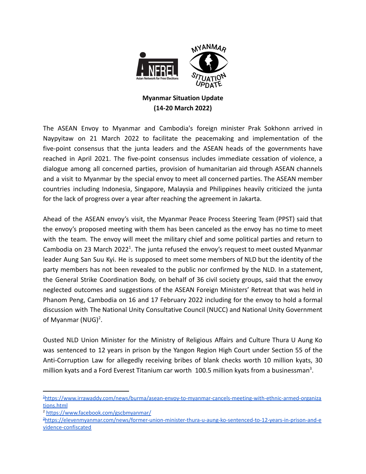

## **Myanmar Situation Update (14-20 March 2022)**

The ASEAN Envoy to Myanmar and Cambodia's foreign minister Prak Sokhonn arrived in Naypyitaw on 21 March 2022 to facilitate the peacemaking and implementation of the five-point consensus that the junta leaders and the ASEAN heads of the governments have reached in April 2021. The five-point consensus includes immediate cessation of violence, a dialogue among all concerned parties, provision of humanitarian aid through ASEAN channels and a visit to Myanmar by the special envoy to meet all concerned parties. The ASEAN member countries including Indonesia, Singapore, Malaysia and Philippines heavily criticized the junta for the lack of progress over a year after reaching the agreement in Jakarta.

Ahead of the ASEAN envoy's visit, the Myanmar Peace Process Steering Team (PPST) said that the envoy's proposed meeting with them has been canceled as the envoy has no time to meet with the team. The envoy will meet the military chief and some political parties and return to Cambodia on 23 March 2022<sup>1</sup>. The junta refused the envoy's request to meet ousted Myanmar leader Aung San Suu Kyi. He is supposed to meet some members of NLD but the identity of the party members has not been revealed to the public nor confirmed by the NLD. In a statement, the General Strike Coordination Body, on behalf of 36 civil society groups, said that the envoy neglected outcomes and suggestions of the ASEAN Foreign Ministers' Retreat that was held in Phanom Peng, Cambodia on 16 and 17 February 2022 including for the envoy to hold a formal discussion with The National Unity Consultative Council (NUCC) and National Unity Government of Myanmar  $(NUG)^2$ .

Ousted NLD Union Minister for the Ministry of Religious Affairs and Culture Thura U Aung Ko was sentenced to 12 years in prison by the Yangon Region High Court under Section 55 of the Anti-Corruption Law for allegedly receiving bribes of blank checks worth 10 million kyats, 30 million kyats and a Ford Everest Titanium car worth 100.5 million kyats from a businessman<sup>3</sup>.

<sup>1</sup>[https://www.irrawaddy.com/news/burma/asean-envoy-to-myanmar-cancels-meeting-with-ethnic-armed-organiza](https://www.irrawaddy.com/news/burma/asean-envoy-to-myanmar-cancels-meeting-with-ethnic-armed-organizations.html) [tions.html](https://www.irrawaddy.com/news/burma/asean-envoy-to-myanmar-cancels-meeting-with-ethnic-armed-organizations.html)

<sup>2</sup> <https://www.facebook.com/gscbmyanmar/>

<sup>3</sup>[https://elevenmyanmar.com/news/former-union-minister-thura-u-aung-ko-sentenced-to-12-years-in-prison-and-e](https://elevenmyanmar.com/news/former-union-minister-thura-u-aung-ko-sentenced-to-12-years-in-prison-and-evidence-confiscated) [vidence-confiscated](https://elevenmyanmar.com/news/former-union-minister-thura-u-aung-ko-sentenced-to-12-years-in-prison-and-evidence-confiscated)